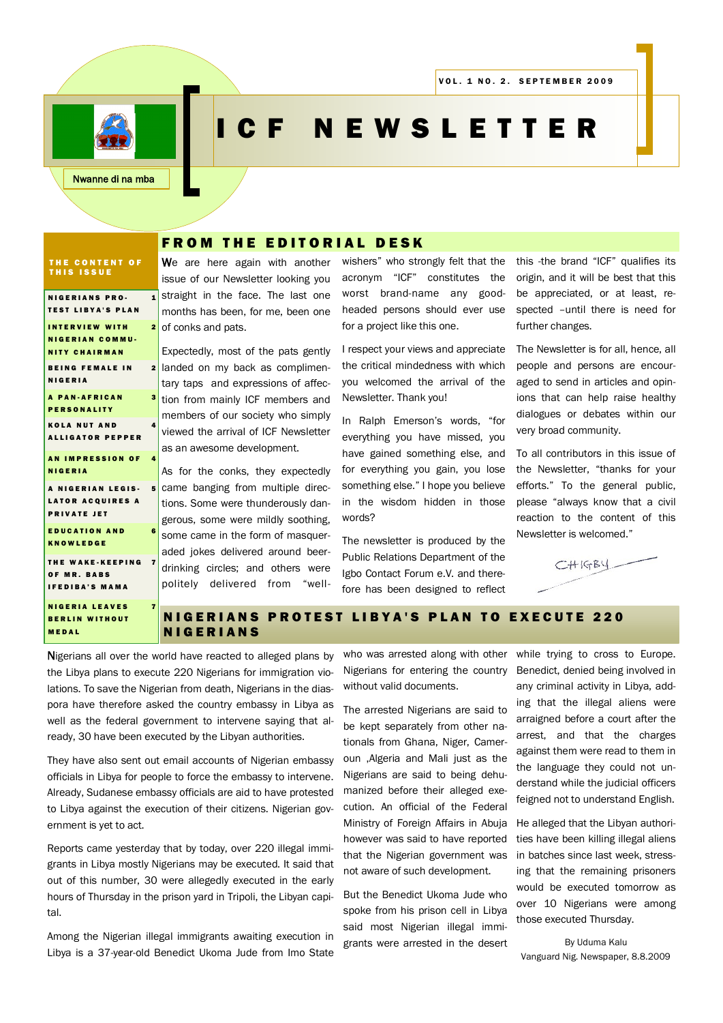

# CF NEWSLETTER

# **FROM THE EDITORIAL DESK**

#### THE CONTENT OF THIS ISSUE

| <b>NIGERIANS PRO-</b>                             |              | $1$ sti        |
|---------------------------------------------------|--------------|----------------|
| <b>TEST LIBYA'S PLAN</b>                          |              | m              |
| <b>INTERVIEW WITH</b>                             | $\mathbf{2}$ | of             |
| <b>NIGERIAN COMMU-</b>                            |              | Ex             |
| <b>NITY CHAIRMAN</b>                              |              |                |
| <b>BEING FEMALE IN</b><br>$\mathbf{2}$<br>NIGERIA |              | laı            |
|                                                   |              | ta             |
| <b>A PAN-AFRICAN</b><br>3<br><b>PERSONALITY</b>   |              | tic            |
| <b>KOLA NUT AND</b><br>4                          |              | m              |
| <b>ALLIGATOR PEPPER</b>                           |              | vie            |
|                                                   |              | as             |
| <b>AN IMPRESSION OF</b><br>4<br><b>NIGERIA</b>    |              |                |
|                                                   |              | As             |
| 5<br>A NIGERIAN LEGIS-                            |              | ca             |
| <b>LATOR ACQUIRES A</b><br><b>PRIVATE JET</b>     |              | tic            |
| <b>EDUCATION AND</b><br>6                         |              | ge             |
| <b>KNOWLEDGE</b>                                  |              | S <sub>O</sub> |
|                                                   |              | ac             |
| $\overline{7}$<br>THE WAKE-KEEPING<br>OF MR. BABS |              | dr             |
| <b>IFEDIBA'S MAMA</b>                             |              | рc             |
| <b>NIGERIA LEAVES</b><br>7                        |              |                |
| <b>BERLIN WITHOUT</b>                             |              |                |
| MEDAL                                             |              |                |
| Nigerians all over the work                       |              |                |
|                                                   |              |                |

We are here again with another issue of our Newsletter looking you raight in the face. The last one onths has been, for me, been one conks and pats.

spectedly, most of the pats gently nded on my back as complimentry taps and expressions of affecon from mainly ICF members and embers of our society who simply ewed the arrival of ICF Newsletter an awesome development.

s for the conks, they expectedly ame banging from multiple direcons. Some were thunderously danerous, some were mildly soothing. ome came in the form of masquerded jokes delivered around beerinking circles; and others were politely delivered from "wellwishers" who strongly felt that the acronym "ICF" constitutes the worst brand-name any goodheaded persons should ever use for a project like this one.

I respect your views and appreciate the critical mindedness with which you welcomed the arrival of the Newsletter. Thank you!

In Ralph Emerson"s words, "for everything you have missed, you have gained something else, and for everything you gain, you lose something else." I hope you believe in the wisdom hidden in those words?

The newsletter is produced by the Public Relations Department of the Igbo Contact Forum e.V. and therefore has been designed to reflect this -the brand "ICF" qualifies its origin, and it will be best that this be appreciated, or at least, respected –until there is need for further changes.

The Newsletter is for all, hence, all people and persons are encouraged to send in articles and opinions that can help raise healthy dialogues or debates within our very broad community.

To all contributors in this issue of the Newsletter, "thanks for your efforts." To the general public, please "always know that a civil reaction to the content of this Newsletter is welcomed."



## **IGERIANS PROTEST LIBYA'S PLAN TO EXECUTE 220 I G E R I A N S**

d have reacted to alleged plans by the Libya plans to execute 220 Nigerians for immigration violations. To save the Nigerian from death, Nigerians in the diaspora have therefore asked the country embassy in Libya as well as the federal government to intervene saying that already, 30 have been executed by the Libyan authorities.

They have also sent out email accounts of Nigerian embassy officials in Libya for people to force the embassy to intervene. Already, Sudanese embassy officials are aid to have protested to Libya against the execution of their citizens. Nigerian government is yet to act.

Reports came yesterday that by today, over 220 illegal immigrants in Libya mostly Nigerians may be executed. It said that out of this number, 30 were allegedly executed in the early hours of Thursday in the prison yard in Tripoli, the Libyan capital.

Among the Nigerian illegal immigrants awaiting execution in Libya is a 37-year-old Benedict Ukoma Jude from Imo State who was arrested along with other Nigerians for entering the country without valid documents.

The arrested Nigerians are said to be kept separately from other nationals from Ghana, Niger, Cameroun ,Algeria and Mali just as the Nigerians are said to being dehumanized before their alleged execution. An official of the Federal Ministry of Foreign Affairs in Abuja however was said to have reported that the Nigerian government was not aware of such development.

But the Benedict Ukoma Jude who spoke from his prison cell in Libya said most Nigerian illegal immigrants were arrested in the desert while trying to cross to Europe. Benedict, denied being involved in any criminal activity in Libya, adding that the illegal aliens were arraigned before a court after the arrest, and that the charges against them were read to them in the language they could not understand while the judicial officers feigned not to understand English.

He alleged that the Libyan authorities have been killing illegal aliens in batches since last week, stressing that the remaining prisoners would be executed tomorrow as over 10 Nigerians were among those executed Thursday.

By Uduma Kalu Vanguard Nig. Newspaper, 8.8.2009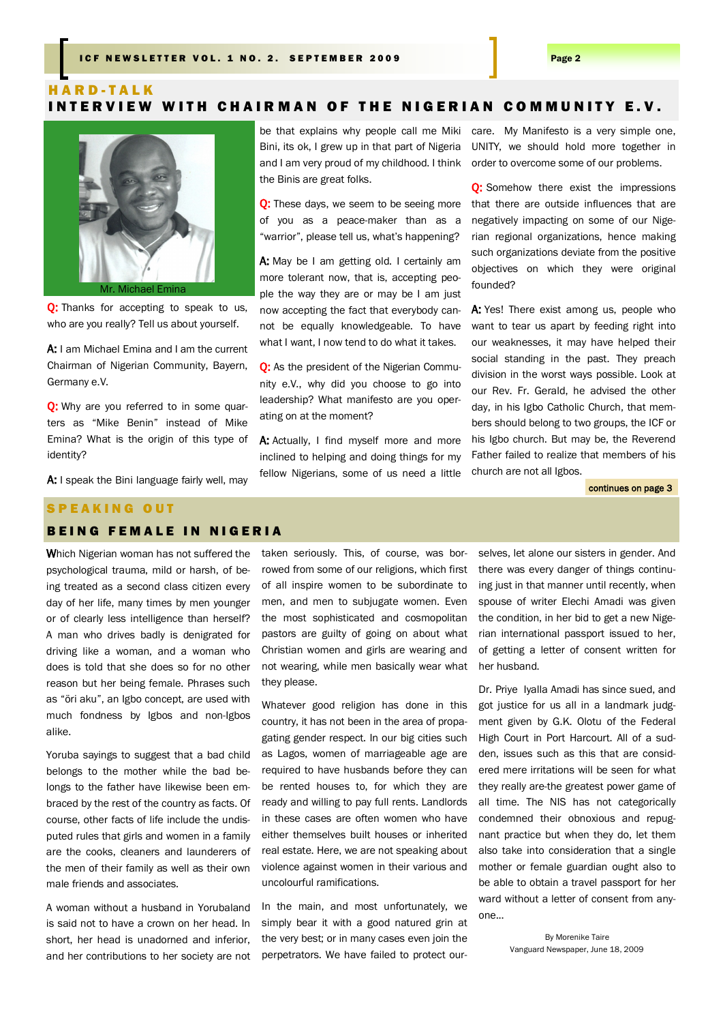# H A R D - T A L K INTERVIEW WITH CHAIRMAN OF THE NIGERIAN COMMUNITY E.V.

be that explains why people call me Miki



Q: Thanks for accepting to speak to us, who are you really? Tell us about yourself.

A: I am Michael Emina and I am the current Chairman of Nigerian Community, Bayern, Germany e.V.

O: Why are you referred to in some quarters as "Mike Benin" instead of Mike Emina? What is the origin of this type of identity?

A: I speak the Bini language fairly well, may

# Bini, its ok, I grew up in that part of Nigeria and I am very proud of my childhood. I think the Binis are great folks.

Q: These days, we seem to be seeing more of you as a peace-maker than as a "warrior", please tell us, what's happening?

A: May be I am getting old. I certainly am more tolerant now, that is, accepting people the way they are or may be I am just now accepting the fact that everybody cannot be equally knowledgeable. To have what I want, I now tend to do what it takes.

**O:** As the president of the Nigerian Community e.V., why did you choose to go into leadership? What manifesto are you operating on at the moment?

A: Actually, I find myself more and more inclined to helping and doing things for my fellow Nigerians, some of us need a little care. My Manifesto is a very simple one, UNITY, we should hold more together in order to overcome some of our problems.

**O:** Somehow there exist the impressions that there are outside influences that are negatively impacting on some of our Nigerian regional organizations, hence making such organizations deviate from the positive objectives on which they were original founded?

A: Yes! There exist among us, people who want to tear us apart by feeding right into our weaknesses, it may have helped their social standing in the past. They preach division in the worst ways possible. Look at our Rev. Fr. Gerald, he advised the other day, in his Igbo Catholic Church, that members should belong to two groups, the ICF or his Igbo church. But may be, the Reverend Father failed to realize that members of his church are not all Igbos.

continues on page 3

# SPEAKING OUT

## **BEING FEMALE IN NIGERIA**

Which Nigerian woman has not suffered the psychological trauma, mild or harsh, of being treated as a second class citizen every day of her life, many times by men younger or of clearly less intelligence than herself? A man who drives badly is denigrated for driving like a woman, and a woman who does is told that she does so for no other reason but her being female. Phrases such as "öri aku", an Igbo concept, are used with much fondness by Igbos and non-Igbos alike.

Yoruba sayings to suggest that a bad child belongs to the mother while the bad belongs to the father have likewise been embraced by the rest of the country as facts. Of course, other facts of life include the undisputed rules that girls and women in a family are the cooks, cleaners and launderers of the men of their family as well as their own male friends and associates.

A woman without a husband in Yorubaland is said not to have a crown on her head. In short, her head is unadorned and inferior, and her contributions to her society are not taken seriously. This, of course, was borrowed from some of our religions, which first of all inspire women to be subordinate to men, and men to subjugate women. Even the most sophisticated and cosmopolitan pastors are guilty of going on about what Christian women and girls are wearing and not wearing, while men basically wear what they please.

Whatever good religion has done in this country, it has not been in the area of propagating gender respect. In our big cities such as Lagos, women of marriageable age are required to have husbands before they can be rented houses to, for which they are ready and willing to pay full rents. Landlords in these cases are often women who have either themselves built houses or inherited real estate. Here, we are not speaking about violence against women in their various and uncolourful ramifications.

In the main, and most unfortunately, we simply bear it with a good natured grin at the very best; or in many cases even join the perpetrators. We have failed to protect our-

selves, let alone our sisters in gender. And there was every danger of things continuing just in that manner until recently, when spouse of writer Elechi Amadi was given the condition, in her bid to get a new Nigerian international passport issued to her, of getting a letter of consent written for her husband.

Dr. Priye Iyalla Amadi has since sued, and got justice for us all in a landmark judgment given by G.K. Olotu of the Federal High Court in Port Harcourt. All of a sudden, issues such as this that are considered mere irritations will be seen for what they really are-the greatest power game of all time. The NIS has not categorically condemned their obnoxious and repugnant practice but when they do, let them also take into consideration that a single mother or female guardian ought also to be able to obtain a travel passport for her ward without a letter of consent from anyone...

> By Morenike Taire Vanguard Newspaper, June 18, 2009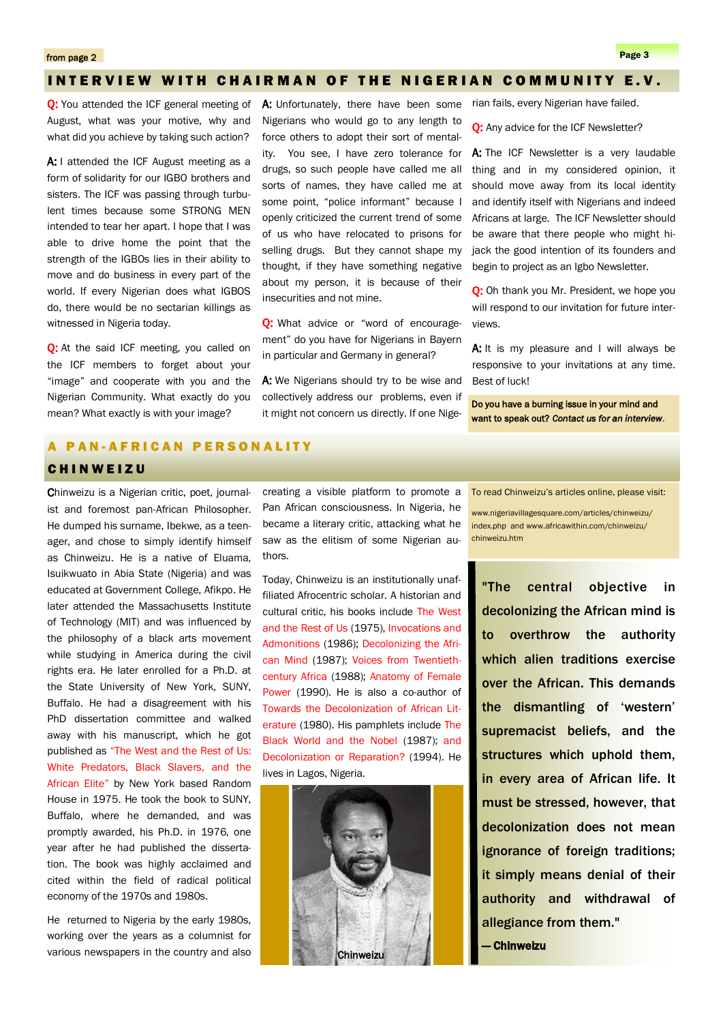## INTERVIEW WITH CHAIRMAN OF THE NIGERIAN COMMUNITY E.V.

**O:** You attended the ICF general meeting of August, what was your motive, why and what did you achieve by taking such action?

A: I attended the ICF August meeting as a form of solidarity for our IGBO brothers and sisters. The ICF was passing through turbulent times because some STRONG MEN intended to tear her apart. I hope that I was able to drive home the point that the strength of the IGBOs lies in their ability to move and do business in every part of the world. If every Nigerian does what IGBOS do, there would be no sectarian killings as witnessed in Nigeria today.

**O:** At the said ICF meeting, you called on the ICF members to forget about your "image" and cooperate with you and the Nigerian Community. What exactly do you mean? What exactly is with your image?

A: Unfortunately, there have been some Nigerians who would go to any length to force others to adopt their sort of mentality. You see, I have zero tolerance for drugs, so such people have called me all sorts of names, they have called me at some point, "police informant" because I openly criticized the current trend of some of us who have relocated to prisons for selling drugs. But they cannot shape my thought, if they have something negative about my person, it is because of their insecurities and not mine.

**Q:** What advice or "word of encouragement" do you have for Nigerians in Bayern in particular and Germany in general?

A: We Nigerians should try to be wise and collectively address our problems, even if it might not concern us directly. If one Nige-

rian fails, every Nigerian have failed.

Q: Any advice for the ICF Newsletter?

A: The ICF Newsletter is a very laudable thing and in my considered opinion, it should move away from its local identity and identify itself with Nigerians and indeed Africans at large. The ICF Newsletter should be aware that there people who might hijack the good intention of its founders and begin to project as an Igbo Newsletter.

**O:** Oh thank you Mr. President, we hope you will respond to our invitation for future interviews.

A: It is my pleasure and I will always be responsive to your invitations at any time. Best of luck!

Do you have a burning issue in your mind and want to speak out? *Contact us for an interview*.

# PAN-AFRICAN PERSONALITY

## CHINWEIZU

Chinweizu is a Nigerian critic, poet, journalist and foremost pan-African Philosopher. He dumped his surname, Ibekwe, as a teenager, and chose to simply identify himself as Chinweizu. He is a native of Eluama, Isuikwuato in Abia State (Nigeria) and was educated at Government College, Afikpo. He later attended the Massachusetts Institute of Technology (MIT) and was influenced by the philosophy of a black arts movement while studying in America during the civil rights era. He later enrolled for a Ph.D. at the State University of New York, SUNY, Buffalo. He had a disagreement with his PhD dissertation committee and walked away with his manuscript, which he got published as "The West and the Rest of Us: White Predators, Black Slavers, and the African Elite" by New York based Random House in 1975. He took the book to SUNY, Buffalo, where he demanded, and was promptly awarded, his Ph.D. in 1976, one year after he had published the dissertation. The book was highly acclaimed and cited within the field of radical political economy of the 1970s and 1980s.

He returned to Nigeria by the early 1980s, working over the years as a columnist for various newspapers in the country and also

creating a visible platform to promote a Pan African consciousness. In Nigeria, he became a literary critic, attacking what he saw as the elitism of some Nigerian authors.

Today, Chinweizu is an institutionally unaffiliated Afrocentric scholar. A historian and cultural critic, his books include The West and the Rest of Us (1975), Invocations and Admonitions (1986); Decolonizing the African Mind (1987); Voices from Twentiethcentury Africa (1988); Anatomy of Female Power (1990). He is also a co-author of Towards the Decolonization of African Literature (1980). His pamphlets include The Black World and the Nobel (1987); and Decolonization or Reparation? (1994). He lives in Lagos, Nigeria.



To read Chinweizu"s articles online, please visit:

www.nigeriavillagesquare.com/articles/chinweizu/ index.php and www.africawithin.com/chinweizu/ chinweizu.htm

"The central objective in decolonizing the African mind is to overthrow the authority which alien traditions exercise over the African. This demands the dismantling of 'western' supremacist beliefs, and the structures which uphold them, in every area of African life. It must be stressed, however, that decolonization does not mean ignorance of foreign traditions; it simply means denial of their authority and withdrawal of allegiance from them."

— Chinweizu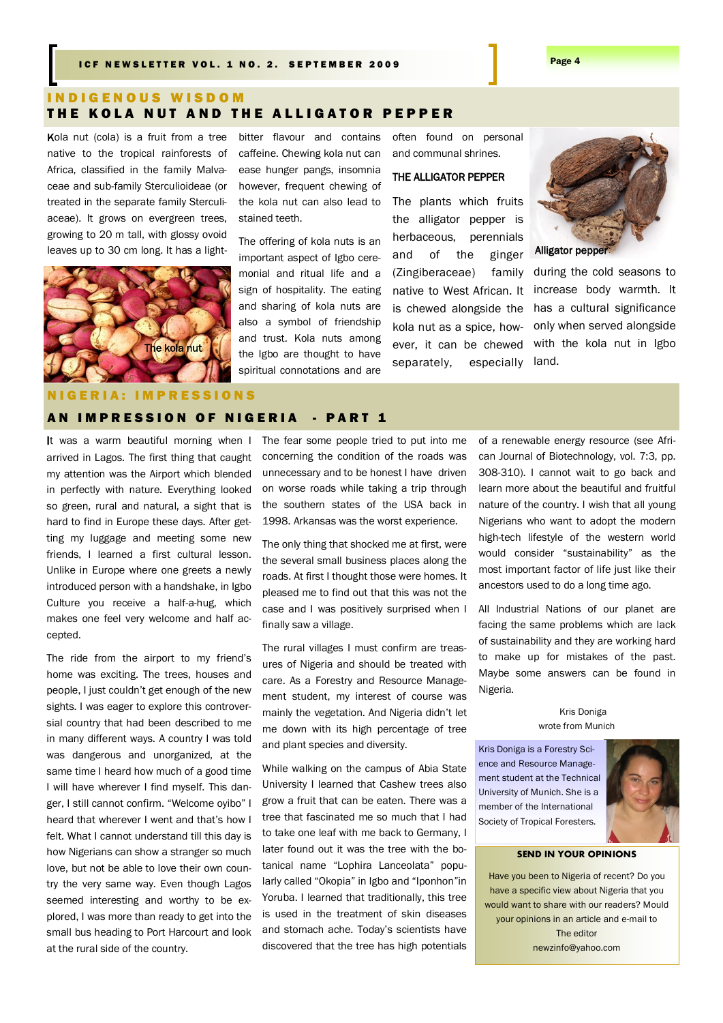# I N D I G E N O U S W I S D O M THE KOLA NUT AND THE ALLIGATOR PEPPER

Kola nut (cola) is a fruit from a tree native to the tropical rainforests of Africa, classified in the family Malvaceae and sub-family Sterculioideae (or treated in the separate family Sterculiaceae). It grows on evergreen trees, growing to 20 m tall, with glossy ovoid leaves up to 30 cm long. It has a light-



bitter flavour and contains caffeine. Chewing kola nut can ease hunger pangs, insomnia however, frequent chewing of the kola nut can also lead to stained teeth.

The offering of kola nuts is an important aspect of Igbo ceremonial and ritual life and a sign of hospitality. The eating and sharing of kola nuts are also a symbol of friendship and trust. Kola nuts among the Igbo are thought to have spiritual connotations and are

often found on personal and communal shrines.

### THE ALLIGATOR PEPPER

The plants which fruits the alligator pepper is herbaceous, perennials and of the ginger [\(Zingiberaceae\)](http://en.wikipedia.org/wiki/Zingiberaceae) family native to West African. It is chewed alongside the kola nut as a spice, however, it can be chewed separately, especially



Alligator pepper

during the cold seasons to increase body warmth. It has a cultural significance only when served alongside with the kola nut in Igbo land.

#### 0 N S

# AN IMPRESSION OF NIGERIA - PART 1

It was a warm beautiful morning when I arrived in Lagos. The first thing that caught my attention was the Airport which blended in perfectly with nature. Everything looked so green, rural and natural, a sight that is hard to find in Europe these days. After getting my luggage and meeting some new friends, I learned a first cultural lesson. Unlike in Europe where one greets a newly introduced person with a handshake, in Igbo Culture you receive a half-a-hug, which makes one feel very welcome and half accepted.

The ride from the airport to my friend's home was exciting. The trees, houses and people, I just couldn"t get enough of the new sights. I was eager to explore this controversial country that had been described to me in many different ways. A country I was told was dangerous and unorganized, at the same time I heard how much of a good time I will have wherever I find myself. This danger, I still cannot confirm. "Welcome oyibo" I heard that wherever I went and that's how I felt. What I cannot understand till this day is how Nigerians can show a stranger so much love, but not be able to love their own country the very same way. Even though Lagos seemed interesting and worthy to be explored, I was more than ready to get into the small bus heading to Port Harcourt and look at the rural side of the country.

The fear some people tried to put into me concerning the condition of the roads was unnecessary and to be honest I have driven on worse roads while taking a trip through the southern states of the USA back in 1998. Arkansas was the worst experience.

The only thing that shocked me at first, were the several small business places along the roads. At first I thought those were homes. It pleased me to find out that this was not the case and I was positively surprised when I finally saw a village.

The rural villages I must confirm are treasures of Nigeria and should be treated with care. As a Forestry and Resource Management student, my interest of course was mainly the vegetation. And Nigeria didn"t let me down with its high percentage of tree and plant species and diversity.

While walking on the campus of Abia State University I learned that Cashew trees also grow a fruit that can be eaten. There was a tree that fascinated me so much that I had to take one leaf with me back to Germany, I later found out it was the tree with the botanical name "Lophira Lanceolata" popularly called "Okopia" in Igbo and "Iponhon"in Yoruba. I learned that traditionally, this tree is used in the treatment of skin diseases and stomach ache. Today"s scientists have discovered that the tree has high potentials

of a renewable energy resource (see African Journal of Biotechnology, vol. 7:3, pp. 308-310). I cannot wait to go back and learn more about the beautiful and fruitful nature of the country. I wish that all young Nigerians who want to adopt the modern high-tech lifestyle of the western world would consider "sustainability" as the most important factor of life just like their ancestors used to do a long time ago.

All Industrial Nations of our planet are facing the same problems which are lack of sustainability and they are working hard to make up for mistakes of the past. Maybe some answers can be found in Nigeria.

#### Kris Doniga wrote from Munich

Kris Doniga is a Forestry Science and Resource Management student at the Technical University of Munich. She is a member of the International Society of Tropical Foresters.



#### **SEND IN YOUR OPINIONS**

Have you been to Nigeria of recent? Do you have a specific view about Nigeria that you would want to share with our readers? Mould your opinions in an article and e-mail to The editor newzinfo@yahoo.com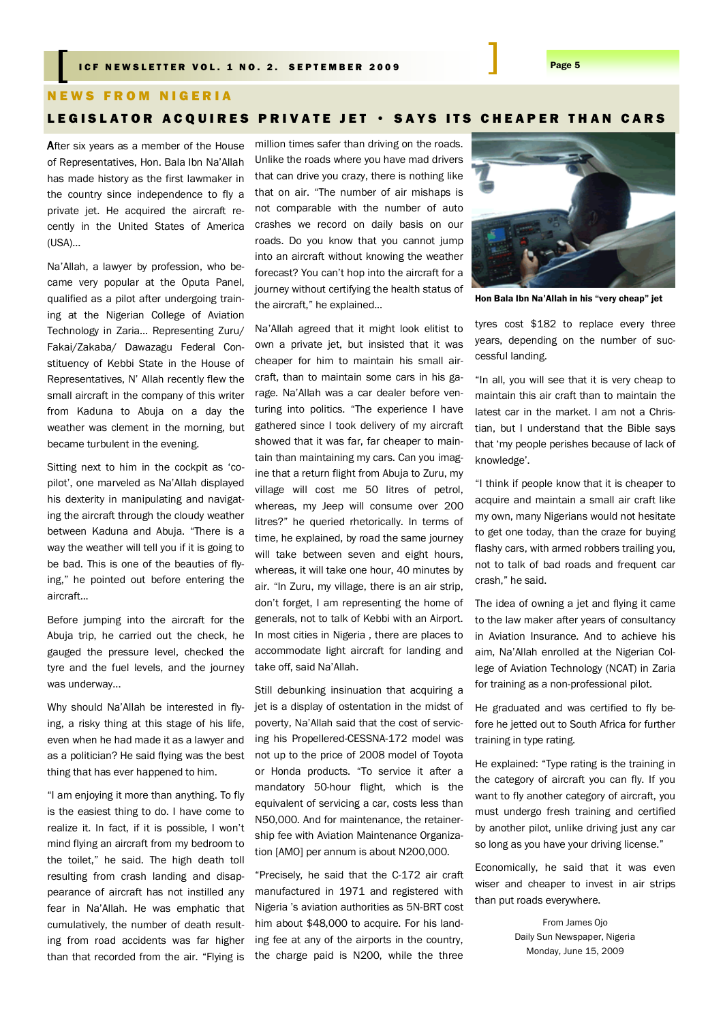## I CF NEWSLETTER VOL. 1 NO. 2. SEPTEMBER 2009 **Page 5**

#### **NEWS FROM NIGERIA**

# LEGISLATOR ACQUIRES PRIVATE JET · SAYS ITS CHEAPER THAN CARS

After six years as a member of the House of Representatives, Hon. Bala Ibn Na"Allah has made history as the first lawmaker in the country since independence to fly a private jet. He acquired the aircraft recently in the United States of America (USA)…

Na"Allah, a lawyer by profession, who became very popular at the Oputa Panel, qualified as a pilot after undergoing training at the Nigerian College of Aviation Technology in Zaria… Representing Zuru/ Fakai/Zakaba/ Dawazagu Federal Constituency of Kebbi State in the House of Representatives, N" Allah recently flew the small aircraft in the company of this writer from Kaduna to Abuja on a day the weather was clement in the morning, but became turbulent in the evening.

Sitting next to him in the cockpit as "copilot", one marveled as Na"Allah displayed his dexterity in manipulating and navigating the aircraft through the cloudy weather between Kaduna and Abuja. "There is a way the weather will tell you if it is going to be bad. This is one of the beauties of flying," he pointed out before entering the aircraft...

Before jumping into the aircraft for the Abuja trip, he carried out the check, he gauged the pressure level, checked the tyre and the fuel levels, and the journey was underway...

Why should Na"Allah be interested in flying, a risky thing at this stage of his life, even when he had made it as a lawyer and as a politician? He said flying was the best thing that has ever happened to him.

"I am enjoying it more than anything. To fly is the easiest thing to do. I have come to realize it. In fact, if it is possible, I won"t mind flying an aircraft from my bedroom to the toilet," he said. The high death toll resulting from crash landing and disappearance of aircraft has not instilled any fear in Na"Allah. He was emphatic that cumulatively, the number of death resulting from road accidents was far higher than that recorded from the air. "Flying is

million times safer than driving on the roads. Unlike the roads where you have mad drivers that can drive you crazy, there is nothing like that on air. "The number of air mishaps is not comparable with the number of auto crashes we record on daily basis on our roads. Do you know that you cannot jump into an aircraft without knowing the weather forecast? You can"t hop into the aircraft for a journey without certifying the health status of the aircraft," he explained...

Na"Allah agreed that it might look elitist to own a private jet, but insisted that it was cheaper for him to maintain his small aircraft, than to maintain some cars in his garage. Na"Allah was a car dealer before venturing into politics. "The experience I have gathered since I took delivery of my aircraft showed that it was far, far cheaper to maintain than maintaining my cars. Can you imagine that a return flight from Abuja to Zuru, my village will cost me 50 litres of petrol, whereas, my Jeep will consume over 200 litres?" he queried rhetorically. In terms of time, he explained, by road the same journey will take between seven and eight hours, whereas, it will take one hour, 40 minutes by air. "In Zuru, my village, there is an air strip, don"t forget, I am representing the home of generals, not to talk of Kebbi with an Airport. In most cities in Nigeria , there are places to accommodate light aircraft for landing and take off, said Na"Allah.

Still debunking insinuation that acquiring a jet is a display of ostentation in the midst of poverty, Na"Allah said that the cost of servicing his Propellered-CESSNA-172 model was not up to the price of 2008 model of Toyota or Honda products. "To service it after a mandatory 50-hour flight, which is the equivalent of servicing a car, costs less than N50,000. And for maintenance, the retainership fee with Aviation Maintenance Organization [AMO] per annum is about N200,000.

"Precisely, he said that the C-172 air craft manufactured in 1971 and registered with Nigeria "s aviation authorities as 5N-BRT cost him about \$48,000 to acquire. For his landing fee at any of the airports in the country, the charge paid is N200, while the three



Hon Bala Ibn Na'Allah in his "very cheap" jet

tyres cost \$182 to replace every three years, depending on the number of successful landing.

"In all, you will see that it is very cheap to maintain this air craft than to maintain the latest car in the market. I am not a Christian, but I understand that the Bible says that "my people perishes because of lack of knowledge".

"I think if people know that it is cheaper to acquire and maintain a small air craft like my own, many Nigerians would not hesitate to get one today, than the craze for buying flashy cars, with armed robbers trailing you, not to talk of bad roads and frequent car crash," he said.

The idea of owning a jet and flying it came to the law maker after years of consultancy in Aviation Insurance. And to achieve his aim, Na"Allah enrolled at the Nigerian College of Aviation Technology (NCAT) in Zaria for training as a non-professional pilot.

He graduated and was certified to fly before he jetted out to South Africa for further training in type rating.

He explained: "Type rating is the training in the category of aircraft you can fly. If you want to fly another category of aircraft, you must undergo fresh training and certified by another pilot, unlike driving just any car so long as you have your driving license."

Economically, he said that it was even wiser and cheaper to invest in air strips than put roads everywhere.

> From James Ojo Daily Sun Newspaper, Nigeria Monday, June 15, 2009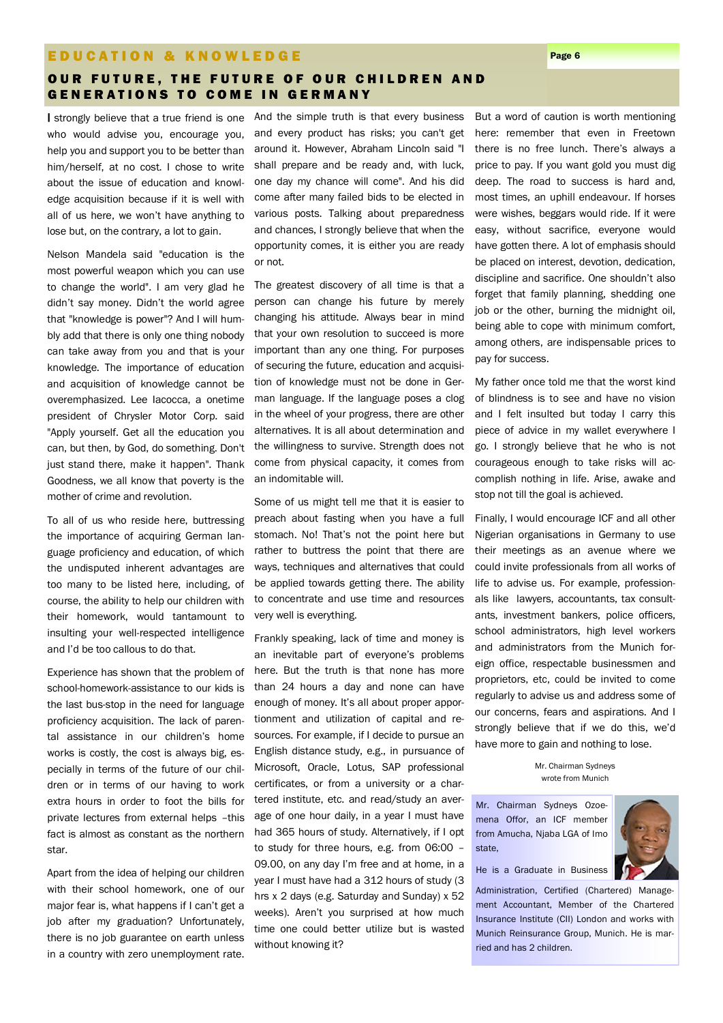#### E D U C A T I O N & K N O W L E D G E PAGE AND THE PAGE AND THE PAGE OF THE PAGE OF THE PAGE OF THE PAGE OF TH

## OUR FUTURE, THE FUTURE OF OUR CHILDREN AND **GENERATIONS TO COME IN GERMANY**

I strongly believe that a true friend is one who would advise you, encourage you, help you and support you to be better than him/herself, at no cost. I chose to write about the issue of education and knowledge acquisition because if it is well with all of us here, we won"t have anything to lose but, on the contrary, a lot to gain.

Nelson Mandela said "education is the most powerful weapon which you can use to change the world". I am very glad he didn"t say money. Didn"t the world agree that "knowledge is power"? And I will humbly add that there is only one thing nobody can take away from you and that is your knowledge. The importance of education and acquisition of knowledge cannot be overemphasized. Lee Iacocca, a onetime president of Chrysler Motor Corp. said "Apply yourself. Get all the education you can, but then, by God, do something. Don't just stand there, make it happen". Thank Goodness, we all know that poverty is the mother of crime and revolution.

To all of us who reside here, buttressing the importance of acquiring German language proficiency and education, of which the undisputed inherent advantages are too many to be listed here, including, of course, the ability to help our children with their homework, would tantamount to insulting your well-respected intelligence and I"d be too callous to do that.

Experience has shown that the problem of school-homework-assistance to our kids is the last bus-stop in the need for language proficiency acquisition. The lack of parental assistance in our children's home works is costly, the cost is always big, especially in terms of the future of our children or in terms of our having to work extra hours in order to foot the bills for private lectures from external helps –this fact is almost as constant as the northern star.

Apart from the idea of helping our children with their school homework, one of our major fear is, what happens if I can"t get a job after my graduation? Unfortunately, there is no job guarantee on earth unless in a country with zero unemployment rate.

And the simple truth is that every business and every product has risks; you can't get around it. However, Abraham Lincoln said "I shall prepare and be ready and, with luck, one day my chance will come". And his did come after many failed bids to be elected in various posts. Talking about preparedness and chances, I strongly believe that when the opportunity comes, it is either you are ready or not.

The greatest discovery of all time is that a person can change his future by merely changing his attitude. Always bear in mind that your own resolution to succeed is more important than any one thing. For purposes of securing the future, education and acquisition of knowledge must not be done in German language. If the language poses a clog in the wheel of your progress, there are other alternatives. It is all about determination and the willingness to survive. Strength does not come from physical capacity, it comes from an indomitable will.

Some of us might tell me that it is easier to preach about fasting when you have a full stomach. No! That's not the point here but rather to buttress the point that there are ways, techniques and alternatives that could be applied towards getting there. The ability to concentrate and use time and resources very well is everything.

Frankly speaking, lack of time and money is an inevitable part of everyone"s problems here. But the truth is that none has more than 24 hours a day and none can have enough of money. It's all about proper apportionment and utilization of capital and resources. For example, if I decide to pursue an English distance study, e.g., in pursuance of Microsoft, Oracle, Lotus, SAP professional certificates, or from a university or a chartered institute, etc. and read/study an average of one hour daily, in a year I must have had 365 hours of study. Alternatively, if I opt to study for three hours, e.g. from 06:00 – 09.00, on any day I"m free and at home, in a year I must have had a 312 hours of study (3 hrs x 2 days (e.g. Saturday and Sunday) x 52 weeks). Aren't you surprised at how much time one could better utilize but is wasted without knowing it?

But a word of caution is worth mentioning here: remember that even in Freetown there is no free lunch. There"s always a price to pay. If you want gold you must dig deep. The road to success is hard and, most times, an uphill endeavour. If horses were wishes, beggars would ride. If it were easy, without sacrifice, everyone would have gotten there. A lot of emphasis should be placed on interest, devotion, dedication, discipline and sacrifice. One shouldn"t also forget that family planning, shedding one job or the other, burning the midnight oil, being able to cope with minimum comfort, among others, are indispensable prices to pay for success.

My father once told me that the worst kind of blindness is to see and have no vision and I felt insulted but today I carry this piece of advice in my wallet everywhere I go. I strongly believe that he who is not courageous enough to take risks will accomplish nothing in life. Arise, awake and stop not till the goal is achieved.

Finally, I would encourage ICF and all other Nigerian organisations in Germany to use their meetings as an avenue where we could invite professionals from all works of life to advise us. For example, professionals like lawyers, accountants, tax consultants, investment bankers, police officers, school administrators, high level workers and administrators from the Munich foreign office, respectable businessmen and proprietors, etc, could be invited to come regularly to advise us and address some of our concerns, fears and aspirations. And I strongly believe that if we do this, we"d have more to gain and nothing to lose.

> Mr. Chairman Sydneys wrote from Munich

Mr. Chairman Sydneys Ozoemena Offor, an ICF member from Amucha, Njaba LGA of Imo state,



#### He is a Graduate in Business

Administration, Certified (Chartered) Management Accountant, Member of the Chartered Insurance Institute (CII) London and works with Munich Reinsurance Group, Munich. He is married and has 2 children.